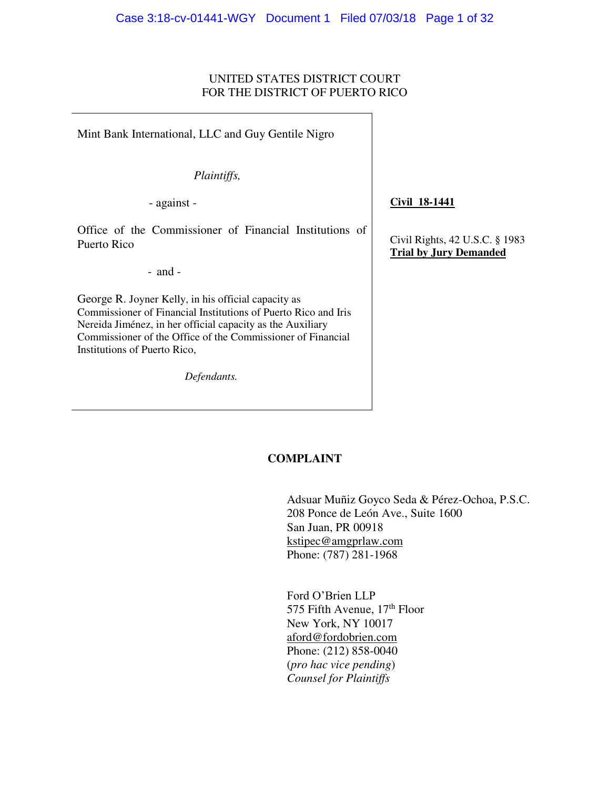### UNITED STATES DISTRICT COURT FOR THE DISTRICT OF PUERTO RICO

Mint Bank International, LLC and Guy Gentile Nigro

*Plaintiffs,*

- against -

Office of the Commissioner of Financial Institutions of Puerto Rico

- and -

George R. Joyner Kelly, in his official capacity as Commissioner of Financial Institutions of Puerto Rico and Iris Nereida Jiménez, in her official capacity as the Auxiliary Commissioner of the Office of the Commissioner of Financial Institutions of Puerto Rico,

*Defendants.*

**Civil 18-1441** 

Civil Rights, 42 U.S.C. § 1983 **Trial by Jury Demanded** 

### **COMPLAINT**

Adsuar Muñiz Goyco Seda & Pérez-Ochoa, P.S.C. 208 Ponce de León Ave., Suite 1600 San Juan, PR 00918 kstipec@amgprlaw.com Phone: (787) 281-1968

 Ford O'Brien LLP 575 Fifth Avenue, 17<sup>th</sup> Floor New York, NY 10017 [aford@fordobrien.com](mailto:aford@fordobrien.com)  Phone: (212) 858-0040 (*pro hac vice pending*) *Counsel for Plaintiffs*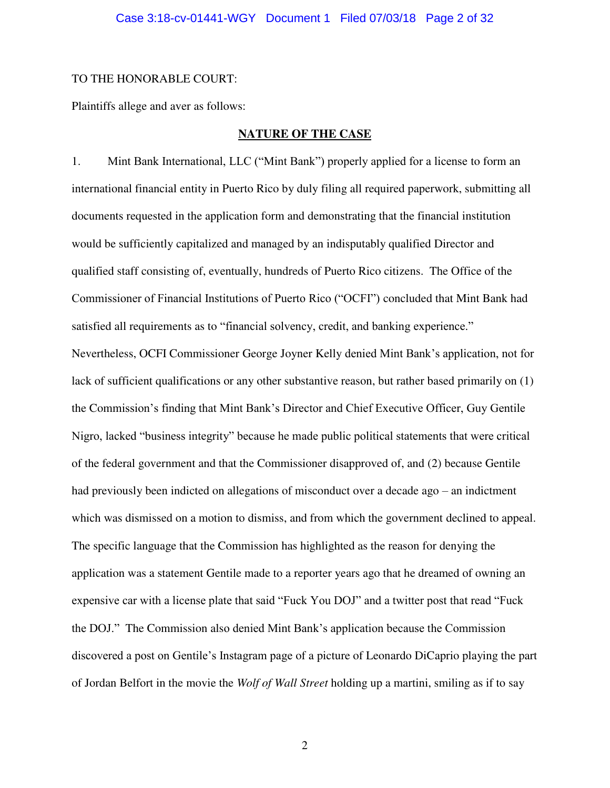#### Case 3:18-cv-01441-WGY Document 1 Filed 07/03/18 Page 2 of 32

#### TO THE HONORABLE COURT:

Plaintiffs allege and aver as follows:

### **NATURE OF THE CASE**

1. Mint Bank International, LLC ("Mint Bank") properly applied for a license to form an international financial entity in Puerto Rico by duly filing all required paperwork, submitting all documents requested in the application form and demonstrating that the financial institution would be sufficiently capitalized and managed by an indisputably qualified Director and qualified staff consisting of, eventually, hundreds of Puerto Rico citizens. The Office of the Commissioner of Financial Institutions of Puerto Rico ("OCFI") concluded that Mint Bank had satisfied all requirements as to "financial solvency, credit, and banking experience." Nevertheless, OCFI Commissioner George Joyner Kelly denied Mint Bank's application, not for lack of sufficient qualifications or any other substantive reason, but rather based primarily on (1) the Commission's finding that Mint Bank's Director and Chief Executive Officer, Guy Gentile Nigro, lacked "business integrity" because he made public political statements that were critical of the federal government and that the Commissioner disapproved of, and (2) because Gentile had previously been indicted on allegations of misconduct over a decade ago – an indictment which was dismissed on a motion to dismiss, and from which the government declined to appeal. The specific language that the Commission has highlighted as the reason for denying the application was a statement Gentile made to a reporter years ago that he dreamed of owning an expensive car with a license plate that said "Fuck You DOJ" and a twitter post that read "Fuck the DOJ." The Commission also denied Mint Bank's application because the Commission discovered a post on Gentile's Instagram page of a picture of Leonardo DiCaprio playing the part of Jordan Belfort in the movie the *Wolf of Wall Street* holding up a martini, smiling as if to say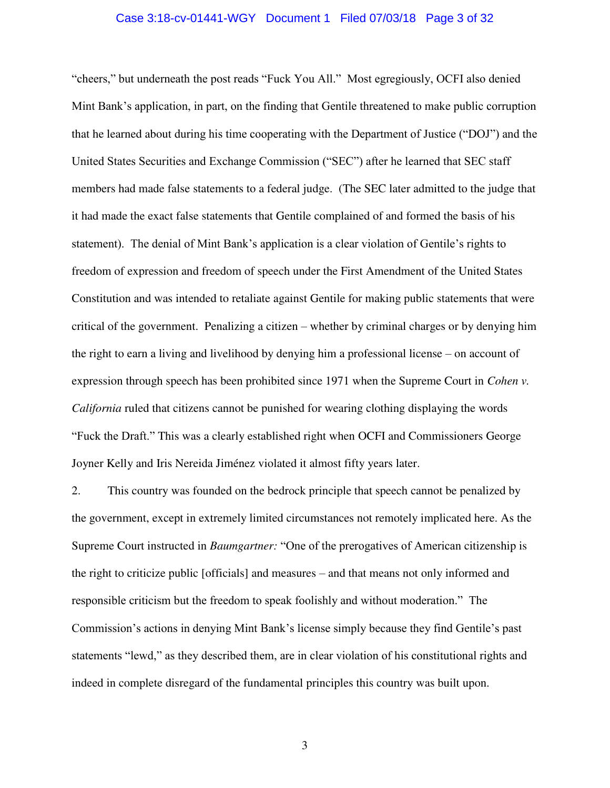### Case 3:18-cv-01441-WGY Document 1 Filed 07/03/18 Page 3 of 32

"cheers," but underneath the post reads "Fuck You All." Most egregiously, OCFI also denied Mint Bank's application, in part, on the finding that Gentile threatened to make public corruption that he learned about during his time cooperating with the Department of Justice ("DOJ") and the United States Securities and Exchange Commission ("SEC") after he learned that SEC staff members had made false statements to a federal judge. (The SEC later admitted to the judge that it had made the exact false statements that Gentile complained of and formed the basis of his statement). The denial of Mint Bank's application is a clear violation of Gentile's rights to freedom of expression and freedom of speech under the First Amendment of the United States Constitution and was intended to retaliate against Gentile for making public statements that were critical of the government. Penalizing a citizen – whether by criminal charges or by denying him the right to earn a living and livelihood by denying him a professional license – on account of expression through speech has been prohibited since 1971 when the Supreme Court in *Cohen v. California* ruled that citizens cannot be punished for wearing clothing displaying the words "Fuck the Draft." This was a clearly established right when OCFI and Commissioners George Joyner Kelly and Iris Nereida Jiménez violated it almost fifty years later.

2. This country was founded on the bedrock principle that speech cannot be penalized by the government, except in extremely limited circumstances not remotely implicated here. As the Supreme Court instructed in *Baumgartner:* "One of the prerogatives of American citizenship is the right to criticize public [officials] and measures – and that means not only informed and responsible criticism but the freedom to speak foolishly and without moderation." The Commission's actions in denying Mint Bank's license simply because they find Gentile's past statements "lewd," as they described them, are in clear violation of his constitutional rights and indeed in complete disregard of the fundamental principles this country was built upon.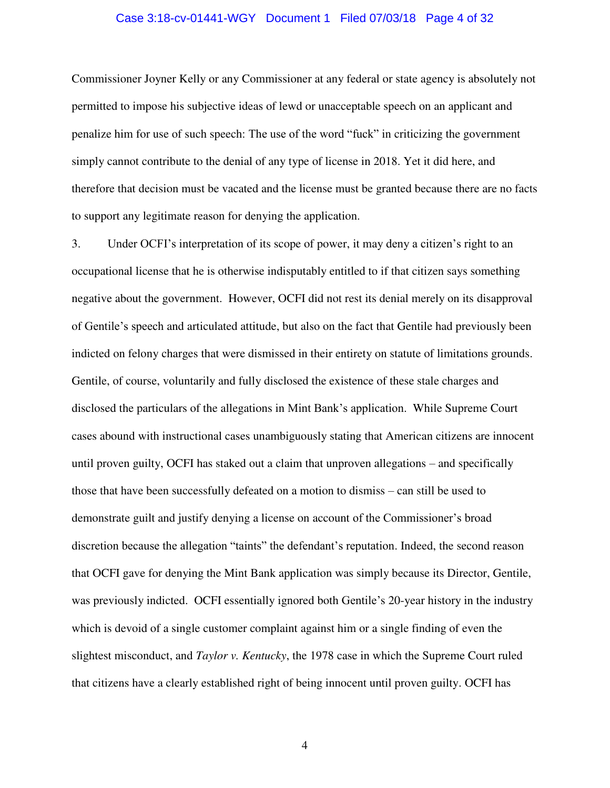#### Case 3:18-cv-01441-WGY Document 1 Filed 07/03/18 Page 4 of 32

Commissioner Joyner Kelly or any Commissioner at any federal or state agency is absolutely not permitted to impose his subjective ideas of lewd or unacceptable speech on an applicant and penalize him for use of such speech: The use of the word "fuck" in criticizing the government simply cannot contribute to the denial of any type of license in 2018. Yet it did here, and therefore that decision must be vacated and the license must be granted because there are no facts to support any legitimate reason for denying the application.

3. Under OCFI's interpretation of its scope of power, it may deny a citizen's right to an occupational license that he is otherwise indisputably entitled to if that citizen says something negative about the government. However, OCFI did not rest its denial merely on its disapproval of Gentile's speech and articulated attitude, but also on the fact that Gentile had previously been indicted on felony charges that were dismissed in their entirety on statute of limitations grounds. Gentile, of course, voluntarily and fully disclosed the existence of these stale charges and disclosed the particulars of the allegations in Mint Bank's application. While Supreme Court cases abound with instructional cases unambiguously stating that American citizens are innocent until proven guilty, OCFI has staked out a claim that unproven allegations – and specifically those that have been successfully defeated on a motion to dismiss – can still be used to demonstrate guilt and justify denying a license on account of the Commissioner's broad discretion because the allegation "taints" the defendant's reputation. Indeed, the second reason that OCFI gave for denying the Mint Bank application was simply because its Director, Gentile, was previously indicted. OCFI essentially ignored both Gentile's 20-year history in the industry which is devoid of a single customer complaint against him or a single finding of even the slightest misconduct, and *Taylor v. Kentucky*, the 1978 case in which the Supreme Court ruled that citizens have a clearly established right of being innocent until proven guilty. OCFI has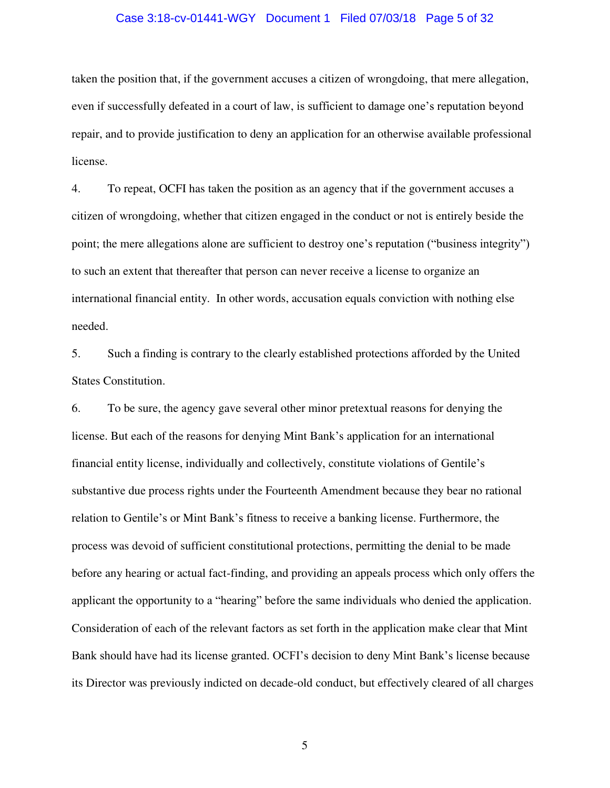#### Case 3:18-cv-01441-WGY Document 1 Filed 07/03/18 Page 5 of 32

taken the position that, if the government accuses a citizen of wrongdoing, that mere allegation, even if successfully defeated in a court of law, is sufficient to damage one's reputation beyond repair, and to provide justification to deny an application for an otherwise available professional license.

4. To repeat, OCFI has taken the position as an agency that if the government accuses a citizen of wrongdoing, whether that citizen engaged in the conduct or not is entirely beside the point; the mere allegations alone are sufficient to destroy one's reputation ("business integrity") to such an extent that thereafter that person can never receive a license to organize an international financial entity. In other words, accusation equals conviction with nothing else needed.

5. Such a finding is contrary to the clearly established protections afforded by the United States Constitution.

6. To be sure, the agency gave several other minor pretextual reasons for denying the license. But each of the reasons for denying Mint Bank's application for an international financial entity license, individually and collectively, constitute violations of Gentile's substantive due process rights under the Fourteenth Amendment because they bear no rational relation to Gentile's or Mint Bank's fitness to receive a banking license. Furthermore, the process was devoid of sufficient constitutional protections, permitting the denial to be made before any hearing or actual fact-finding, and providing an appeals process which only offers the applicant the opportunity to a "hearing" before the same individuals who denied the application. Consideration of each of the relevant factors as set forth in the application make clear that Mint Bank should have had its license granted. OCFI's decision to deny Mint Bank's license because its Director was previously indicted on decade-old conduct, but effectively cleared of all charges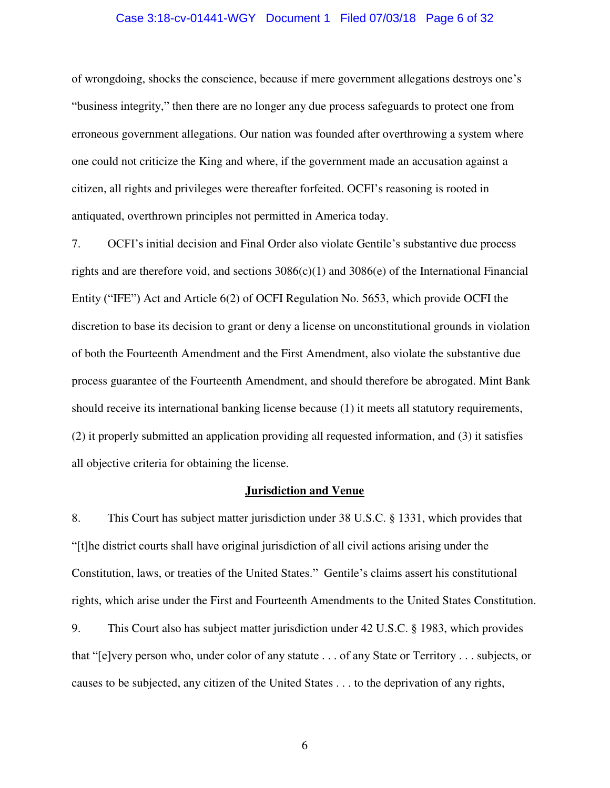#### Case 3:18-cv-01441-WGY Document 1 Filed 07/03/18 Page 6 of 32

of wrongdoing, shocks the conscience, because if mere government allegations destroys one's "business integrity," then there are no longer any due process safeguards to protect one from erroneous government allegations. Our nation was founded after overthrowing a system where one could not criticize the King and where, if the government made an accusation against a citizen, all rights and privileges were thereafter forfeited. OCFI's reasoning is rooted in antiquated, overthrown principles not permitted in America today.

7. OCFI's initial decision and Final Order also violate Gentile's substantive due process rights and are therefore void, and sections  $3086(c)(1)$  and  $3086(e)$  of the International Financial Entity ("IFE") Act and Article 6(2) of OCFI Regulation No. 5653, which provide OCFI the discretion to base its decision to grant or deny a license on unconstitutional grounds in violation of both the Fourteenth Amendment and the First Amendment, also violate the substantive due process guarantee of the Fourteenth Amendment, and should therefore be abrogated. Mint Bank should receive its international banking license because (1) it meets all statutory requirements, (2) it properly submitted an application providing all requested information, and (3) it satisfies all objective criteria for obtaining the license.

#### **Jurisdiction and Venue**

8. This Court has subject matter jurisdiction under 38 U.S.C. § 1331, which provides that "[t]he district courts shall have original jurisdiction of all civil actions arising under the Constitution, laws, or treaties of the United States." Gentile's claims assert his constitutional rights, which arise under the First and Fourteenth Amendments to the United States Constitution. 9. This Court also has subject matter jurisdiction under 42 U.S.C. § 1983, which provides that "[e]very person who, under color of any statute . . . of any State or Territory . . . subjects, or causes to be subjected, any citizen of the United States . . . to the deprivation of any rights,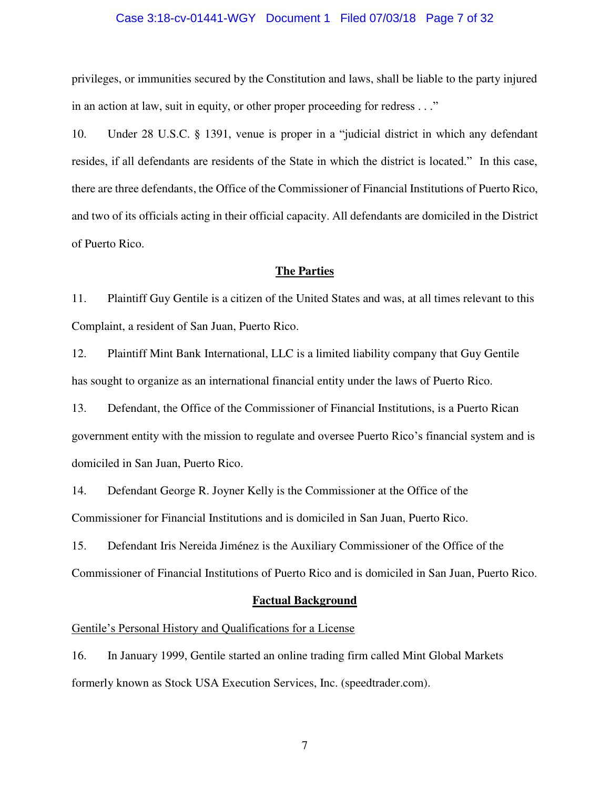#### Case 3:18-cv-01441-WGY Document 1 Filed 07/03/18 Page 7 of 32

privileges, or immunities secured by the Constitution and laws, shall be liable to the party injured in an action at law, suit in equity, or other proper proceeding for redress . . ."

10. Under 28 U.S.C. § 1391, venue is proper in a "judicial district in which any defendant resides, if all defendants are residents of the State in which the district is located." In this case, there are three defendants, the Office of the Commissioner of Financial Institutions of Puerto Rico, and two of its officials acting in their official capacity. All defendants are domiciled in the District of Puerto Rico.

#### **The Parties**

11. Plaintiff Guy Gentile is a citizen of the United States and was, at all times relevant to this Complaint, a resident of San Juan, Puerto Rico.

12. Plaintiff Mint Bank International, LLC is a limited liability company that Guy Gentile has sought to organize as an international financial entity under the laws of Puerto Rico.

13. Defendant, the Office of the Commissioner of Financial Institutions, is a Puerto Rican government entity with the mission to regulate and oversee Puerto Rico's financial system and is domiciled in San Juan, Puerto Rico.

14. Defendant George R. Joyner Kelly is the Commissioner at the Office of the Commissioner for Financial Institutions and is domiciled in San Juan, Puerto Rico.

15. Defendant Iris Nereida Jiménez is the Auxiliary Commissioner of the Office of the Commissioner of Financial Institutions of Puerto Rico and is domiciled in San Juan, Puerto Rico.

#### **Factual Background**

### Gentile's Personal History and Qualifications for a License

16. In January 1999, Gentile started an online trading firm called Mint Global Markets formerly known as Stock USA Execution Services, Inc. (speedtrader.com).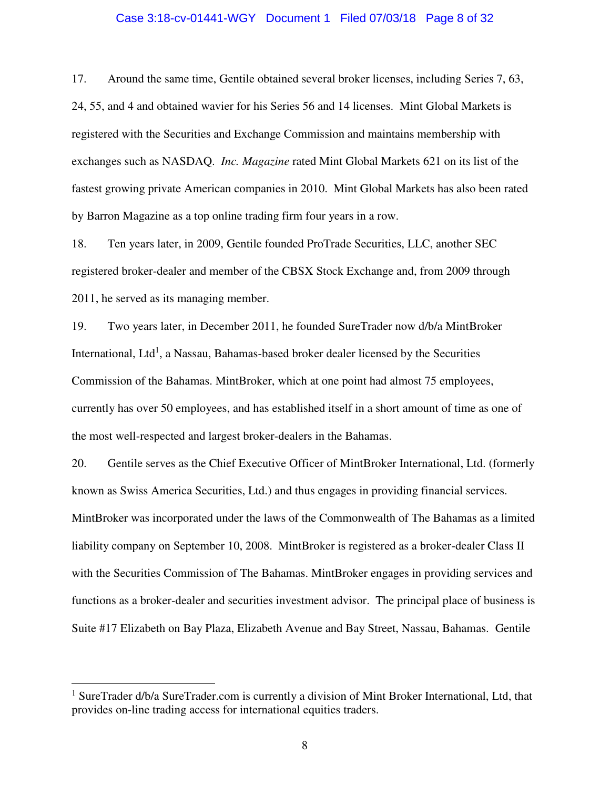#### Case 3:18-cv-01441-WGY Document 1 Filed 07/03/18 Page 8 of 32

17. Around the same time, Gentile obtained several broker licenses, including Series 7, 63, 24, 55, and 4 and obtained wavier for his Series 56 and 14 licenses. Mint Global Markets is registered with the Securities and Exchange Commission and maintains membership with exchanges such as NASDAQ. *Inc. Magazine* rated Mint Global Markets 621 on its list of the fastest growing private American companies in 2010. Mint Global Markets has also been rated by Barron Magazine as a top online trading firm four years in a row.

18. Ten years later, in 2009, Gentile founded ProTrade Securities, LLC, another SEC registered broker-dealer and member of the CBSX Stock Exchange and, from 2009 through 2011, he served as its managing member.

19. Two years later, in December 2011, he founded SureTrader now d/b/a MintBroker International, Ltd<sup>1</sup>, a Nassau, Bahamas-based broker dealer licensed by the Securities Commission of the Bahamas. MintBroker, which at one point had almost 75 employees, currently has over 50 employees, and has established itself in a short amount of time as one of the most well-respected and largest broker-dealers in the Bahamas.

20. Gentile serves as the Chief Executive Officer of MintBroker International, Ltd. (formerly known as Swiss America Securities, Ltd.) and thus engages in providing financial services. MintBroker was incorporated under the laws of the Commonwealth of The Bahamas as a limited liability company on September 10, 2008. MintBroker is registered as a broker-dealer Class II with the Securities Commission of The Bahamas. MintBroker engages in providing services and functions as a broker-dealer and securities investment advisor. The principal place of business is Suite #17 Elizabeth on Bay Plaza, Elizabeth Avenue and Bay Street, Nassau, Bahamas. Gentile

 $\overline{a}$ 

<sup>&</sup>lt;sup>1</sup> SureTrader d/b/a SureTrader.com is currently a division of Mint Broker International, Ltd, that provides on-line trading access for international equities traders.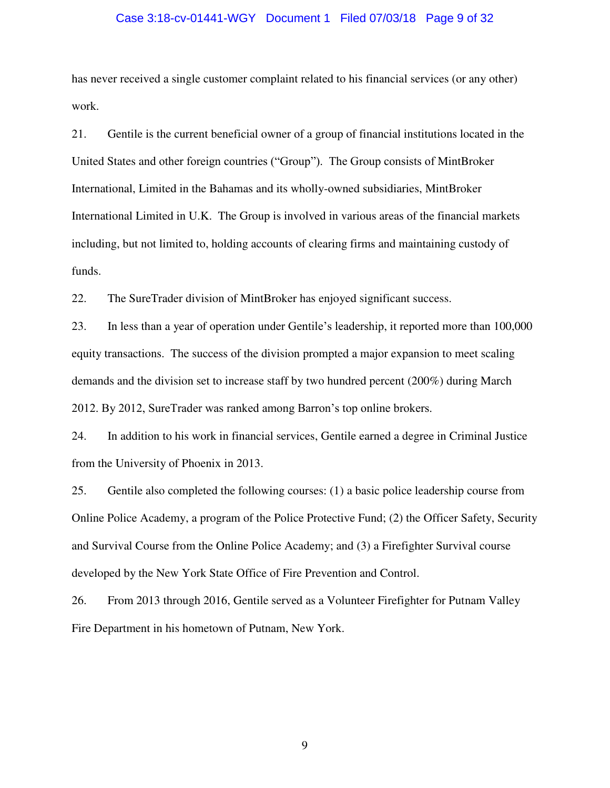#### Case 3:18-cv-01441-WGY Document 1 Filed 07/03/18 Page 9 of 32

has never received a single customer complaint related to his financial services (or any other) work.

21. Gentile is the current beneficial owner of a group of financial institutions located in the United States and other foreign countries ("Group"). The Group consists of MintBroker International, Limited in the Bahamas and its wholly-owned subsidiaries, MintBroker International Limited in U.K. The Group is involved in various areas of the financial markets including, but not limited to, holding accounts of clearing firms and maintaining custody of funds.

22. The SureTrader division of MintBroker has enjoyed significant success.

23. In less than a year of operation under Gentile's leadership, it reported more than 100,000 equity transactions. The success of the division prompted a major expansion to meet scaling demands and the division set to increase staff by two hundred percent (200%) during March 2012. By 2012, SureTrader was ranked among Barron's top online brokers.

24. In addition to his work in financial services, Gentile earned a degree in Criminal Justice from the University of Phoenix in 2013.

25. Gentile also completed the following courses: (1) a basic police leadership course from Online Police Academy, a program of the Police Protective Fund; (2) the Officer Safety, Security and Survival Course from the Online Police Academy; and (3) a Firefighter Survival course developed by the New York State Office of Fire Prevention and Control.

26. From 2013 through 2016, Gentile served as a Volunteer Firefighter for Putnam Valley Fire Department in his hometown of Putnam, New York.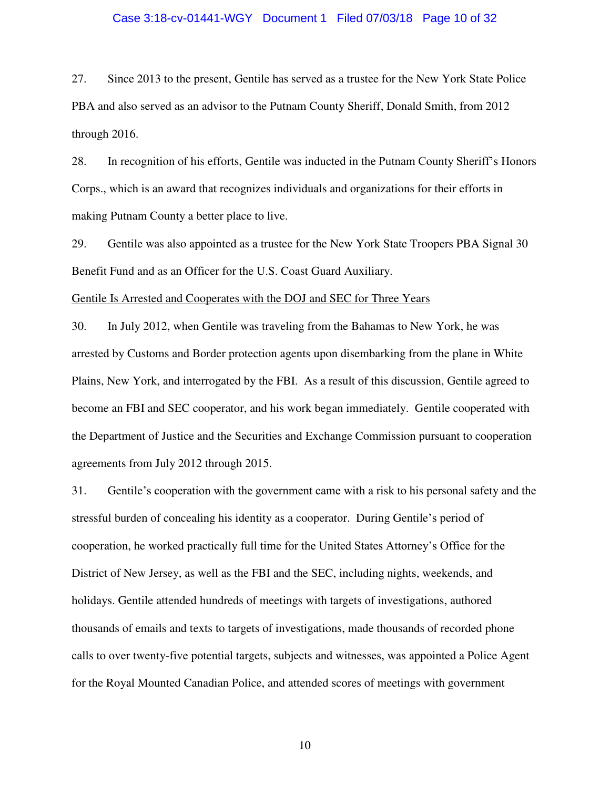#### Case 3:18-cv-01441-WGY Document 1 Filed 07/03/18 Page 10 of 32

27. Since 2013 to the present, Gentile has served as a trustee for the New York State Police PBA and also served as an advisor to the Putnam County Sheriff, Donald Smith, from 2012 through 2016.

28. In recognition of his efforts, Gentile was inducted in the Putnam County Sheriff's Honors Corps., which is an award that recognizes individuals and organizations for their efforts in making Putnam County a better place to live.

29. Gentile was also appointed as a trustee for the New York State Troopers PBA Signal 30 Benefit Fund and as an Officer for the U.S. Coast Guard Auxiliary.

#### Gentile Is Arrested and Cooperates with the DOJ and SEC for Three Years

30. In July 2012, when Gentile was traveling from the Bahamas to New York, he was arrested by Customs and Border protection agents upon disembarking from the plane in White Plains, New York, and interrogated by the FBI. As a result of this discussion, Gentile agreed to become an FBI and SEC cooperator, and his work began immediately. Gentile cooperated with the Department of Justice and the Securities and Exchange Commission pursuant to cooperation agreements from July 2012 through 2015.

31. Gentile's cooperation with the government came with a risk to his personal safety and the stressful burden of concealing his identity as a cooperator. During Gentile's period of cooperation, he worked practically full time for the United States Attorney's Office for the District of New Jersey, as well as the FBI and the SEC, including nights, weekends, and holidays. Gentile attended hundreds of meetings with targets of investigations, authored thousands of emails and texts to targets of investigations, made thousands of recorded phone calls to over twenty-five potential targets, subjects and witnesses, was appointed a Police Agent for the Royal Mounted Canadian Police, and attended scores of meetings with government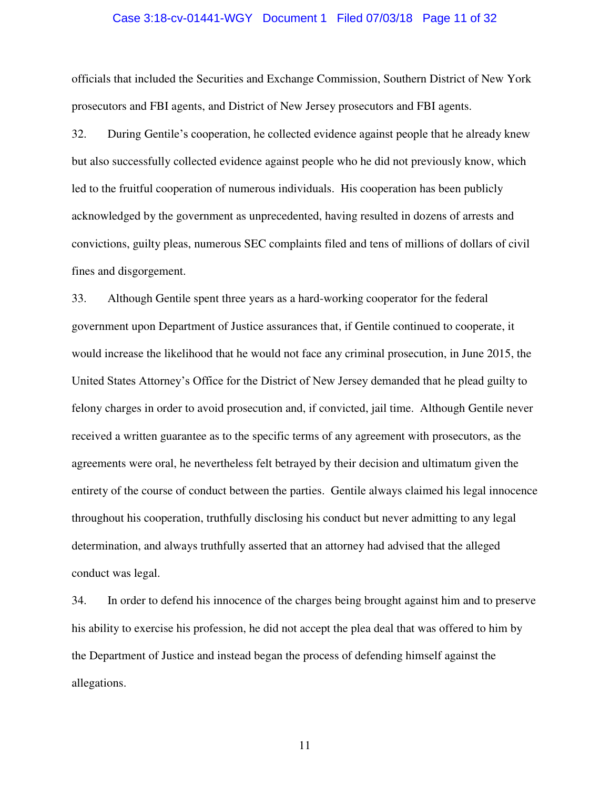#### Case 3:18-cv-01441-WGY Document 1 Filed 07/03/18 Page 11 of 32

officials that included the Securities and Exchange Commission, Southern District of New York prosecutors and FBI agents, and District of New Jersey prosecutors and FBI agents.

32. During Gentile's cooperation, he collected evidence against people that he already knew but also successfully collected evidence against people who he did not previously know, which led to the fruitful cooperation of numerous individuals. His cooperation has been publicly acknowledged by the government as unprecedented, having resulted in dozens of arrests and convictions, guilty pleas, numerous SEC complaints filed and tens of millions of dollars of civil fines and disgorgement.

33. Although Gentile spent three years as a hard-working cooperator for the federal government upon Department of Justice assurances that, if Gentile continued to cooperate, it would increase the likelihood that he would not face any criminal prosecution, in June 2015, the United States Attorney's Office for the District of New Jersey demanded that he plead guilty to felony charges in order to avoid prosecution and, if convicted, jail time. Although Gentile never received a written guarantee as to the specific terms of any agreement with prosecutors, as the agreements were oral, he nevertheless felt betrayed by their decision and ultimatum given the entirety of the course of conduct between the parties. Gentile always claimed his legal innocence throughout his cooperation, truthfully disclosing his conduct but never admitting to any legal determination, and always truthfully asserted that an attorney had advised that the alleged conduct was legal.

34. In order to defend his innocence of the charges being brought against him and to preserve his ability to exercise his profession, he did not accept the plea deal that was offered to him by the Department of Justice and instead began the process of defending himself against the allegations.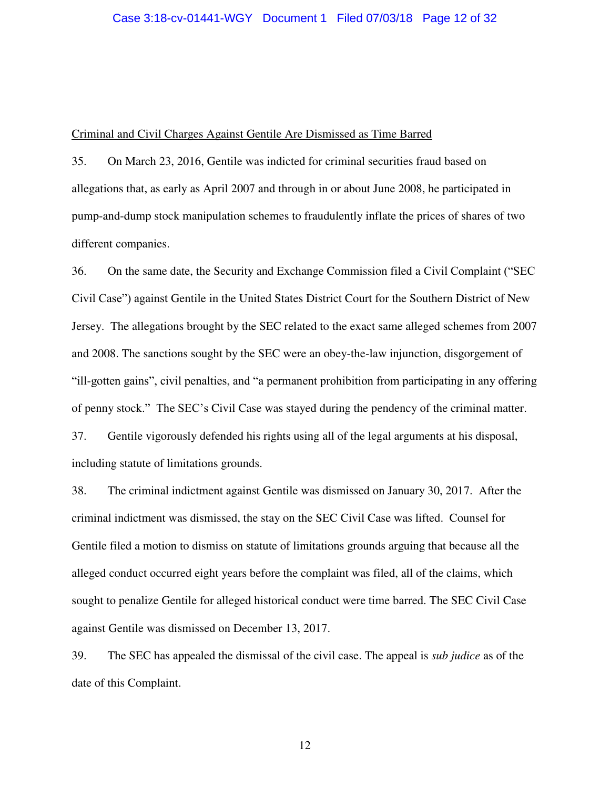#### Criminal and Civil Charges Against Gentile Are Dismissed as Time Barred

35. On March 23, 2016, Gentile was indicted for criminal securities fraud based on allegations that, as early as April 2007 and through in or about June 2008, he participated in pump-and-dump stock manipulation schemes to fraudulently inflate the prices of shares of two different companies.

36. On the same date, the Security and Exchange Commission filed a Civil Complaint ("SEC Civil Case") against Gentile in the United States District Court for the Southern District of New Jersey. The allegations brought by the SEC related to the exact same alleged schemes from 2007 and 2008. The sanctions sought by the SEC were an obey-the-law injunction, disgorgement of "ill-gotten gains", civil penalties, and "a permanent prohibition from participating in any offering of penny stock." The SEC's Civil Case was stayed during the pendency of the criminal matter. 37. Gentile vigorously defended his rights using all of the legal arguments at his disposal, including statute of limitations grounds.

38. The criminal indictment against Gentile was dismissed on January 30, 2017. After the criminal indictment was dismissed, the stay on the SEC Civil Case was lifted. Counsel for Gentile filed a motion to dismiss on statute of limitations grounds arguing that because all the alleged conduct occurred eight years before the complaint was filed, all of the claims, which sought to penalize Gentile for alleged historical conduct were time barred. The SEC Civil Case against Gentile was dismissed on December 13, 2017.

39. The SEC has appealed the dismissal of the civil case. The appeal is *sub judice* as of the date of this Complaint.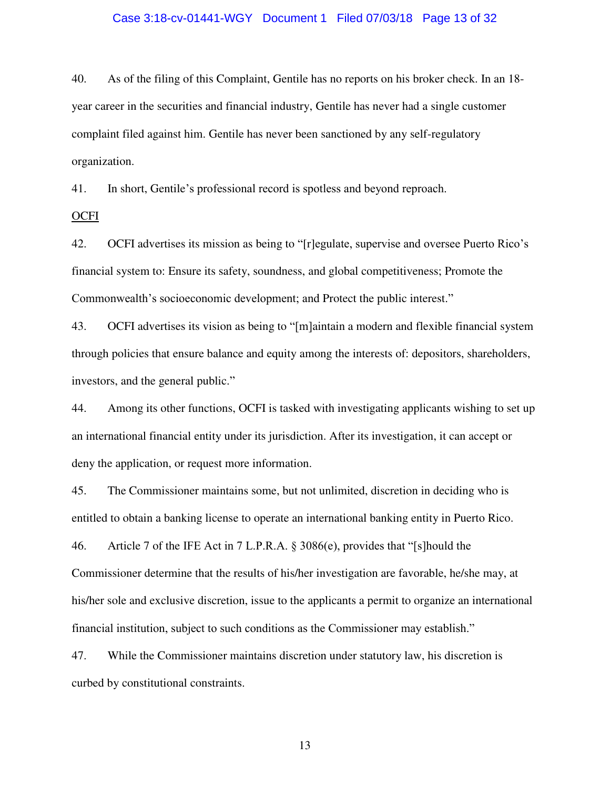#### Case 3:18-cv-01441-WGY Document 1 Filed 07/03/18 Page 13 of 32

40. As of the filing of this Complaint, Gentile has no reports on his broker check. In an 18 year career in the securities and financial industry, Gentile has never had a single customer complaint filed against him. Gentile has never been sanctioned by any self-regulatory organization.

41. In short, Gentile's professional record is spotless and beyond reproach.

**OCFI** 

42. OCFI advertises its mission as being to "[r]egulate, supervise and oversee Puerto Rico's financial system to: Ensure its safety, soundness, and global competitiveness; Promote the Commonwealth's socioeconomic development; and Protect the public interest."

43. OCFI advertises its vision as being to "[m]aintain a modern and flexible financial system through policies that ensure balance and equity among the interests of: depositors, shareholders, investors, and the general public."

44. Among its other functions, OCFI is tasked with investigating applicants wishing to set up an international financial entity under its jurisdiction. After its investigation, it can accept or deny the application, or request more information.

45. The Commissioner maintains some, but not unlimited, discretion in deciding who is entitled to obtain a banking license to operate an international banking entity in Puerto Rico.

46. Article 7 of the IFE Act in 7 L.P.R.A. § 3086(e), provides that "[s]hould the Commissioner determine that the results of his/her investigation are favorable, he/she may, at his/her sole and exclusive discretion, issue to the applicants a permit to organize an international financial institution, subject to such conditions as the Commissioner may establish."

47. While the Commissioner maintains discretion under statutory law, his discretion is curbed by constitutional constraints.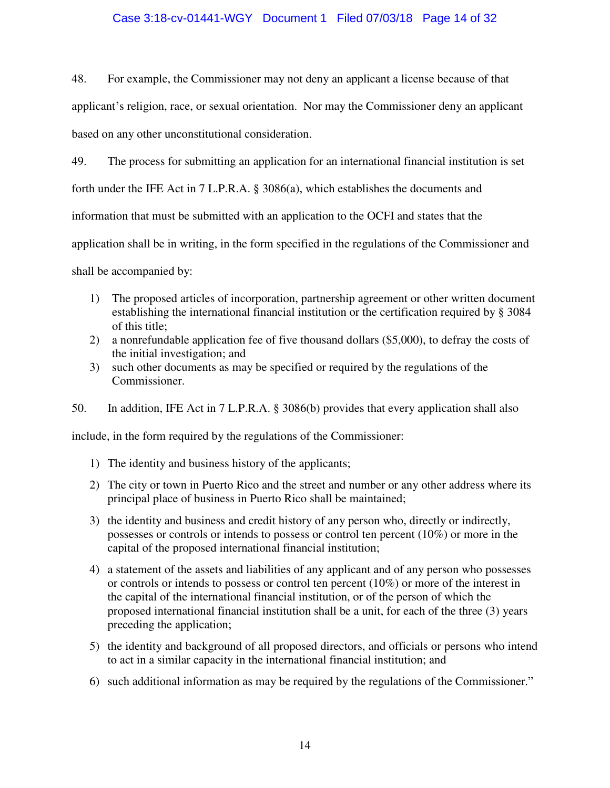### Case 3:18-cv-01441-WGY Document 1 Filed 07/03/18 Page 14 of 32

48. For example, the Commissioner may not deny an applicant a license because of that

applicant's religion, race, or sexual orientation. Nor may the Commissioner deny an applicant based on any other unconstitutional consideration.

49. The process for submitting an application for an international financial institution is set forth under the IFE Act in 7 L.P.R.A. § 3086(a), which establishes the documents and information that must be submitted with an application to the OCFI and states that the application shall be in writing, in the form specified in the regulations of the Commissioner and

shall be accompanied by:

- 1) The proposed articles of incorporation, partnership agreement or other written document establishing the international financial institution or the certification required by § 3084 of this title;
- 2) a nonrefundable application fee of five thousand dollars (\$5,000), to defray the costs of the initial investigation; and
- 3) such other documents as may be specified or required by the regulations of the Commissioner.

# 50. In addition, IFE Act in 7 L.P.R.A. § 3086(b) provides that every application shall also

include, in the form required by the regulations of the Commissioner:

- 1) The identity and business history of the applicants;
- 2) The city or town in Puerto Rico and the street and number or any other address where its principal place of business in Puerto Rico shall be maintained;
- 3) the identity and business and credit history of any person who, directly or indirectly, possesses or controls or intends to possess or control ten percent (10%) or more in the capital of the proposed international financial institution;
- 4) a statement of the assets and liabilities of any applicant and of any person who possesses or controls or intends to possess or control ten percent (10%) or more of the interest in the capital of the international financial institution, or of the person of which the proposed international financial institution shall be a unit, for each of the three (3) years preceding the application;
- 5) the identity and background of all proposed directors, and officials or persons who intend to act in a similar capacity in the international financial institution; and
- 6) such additional information as may be required by the regulations of the Commissioner."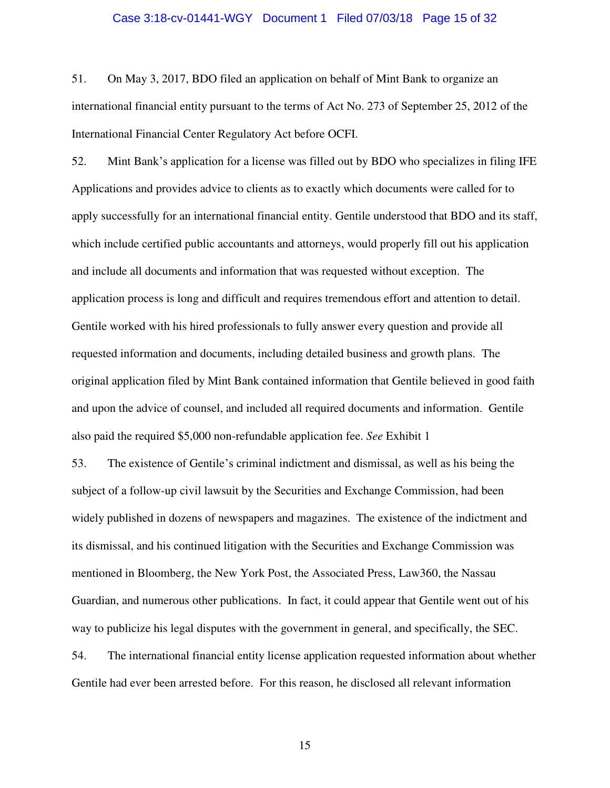#### Case 3:18-cv-01441-WGY Document 1 Filed 07/03/18 Page 15 of 32

51. On May 3, 2017, BDO filed an application on behalf of Mint Bank to organize an international financial entity pursuant to the terms of Act No. 273 of September 25, 2012 of the International Financial Center Regulatory Act before OCFI.

52. Mint Bank's application for a license was filled out by BDO who specializes in filing IFE Applications and provides advice to clients as to exactly which documents were called for to apply successfully for an international financial entity. Gentile understood that BDO and its staff, which include certified public accountants and attorneys, would properly fill out his application and include all documents and information that was requested without exception. The application process is long and difficult and requires tremendous effort and attention to detail. Gentile worked with his hired professionals to fully answer every question and provide all requested information and documents, including detailed business and growth plans. The original application filed by Mint Bank contained information that Gentile believed in good faith and upon the advice of counsel, and included all required documents and information. Gentile also paid the required \$5,000 non-refundable application fee. *See* Exhibit 1

53. The existence of Gentile's criminal indictment and dismissal, as well as his being the subject of a follow-up civil lawsuit by the Securities and Exchange Commission, had been widely published in dozens of newspapers and magazines. The existence of the indictment and its dismissal, and his continued litigation with the Securities and Exchange Commission was mentioned in Bloomberg, the New York Post, the Associated Press, Law360, the Nassau Guardian, and numerous other publications. In fact, it could appear that Gentile went out of his way to publicize his legal disputes with the government in general, and specifically, the SEC. 54. The international financial entity license application requested information about whether

Gentile had ever been arrested before. For this reason, he disclosed all relevant information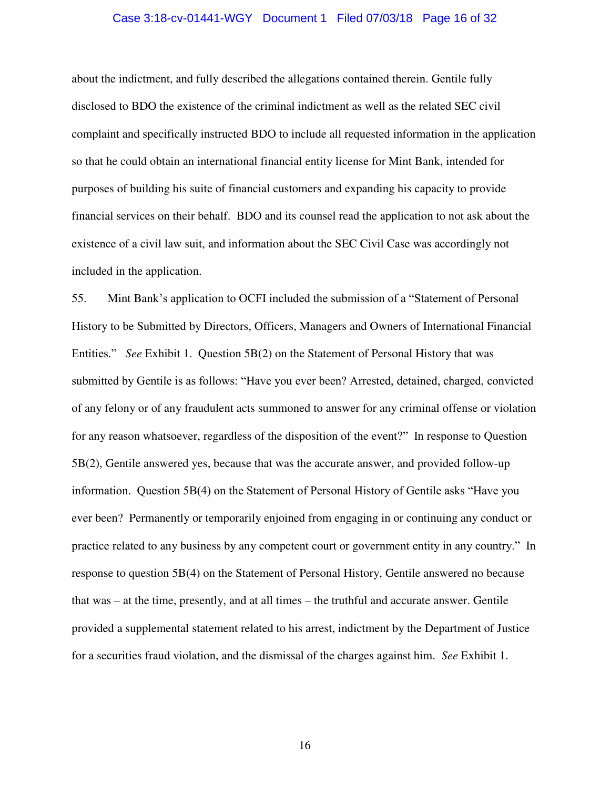### Case 3:18-cv-01441-WGY Document 1 Filed 07/03/18 Page 16 of 32

about the indictment, and fully described the allegations contained therein. Gentile fully disclosed to BDO the existence of the criminal indictment as well as the related SEC civil complaint and specifically instructed BDO to include all requested information in the application so that he could obtain an international financial entity license for Mint Bank, intended for purposes of building his suite of financial customers and expanding his capacity to provide financial services on their behalf. BDO and its counsel read the application to not ask about the existence of a civil law suit, and information about the SEC Civil Case was accordingly not included in the application.

55. Mint Bank's application to OCFI included the submission of a "Statement of Personal History to be Submitted by Directors, Officers, Managers and Owners of International Financial Entities." *See* Exhibit 1. Question 5B(2) on the Statement of Personal History that was submitted by Gentile is as follows: "Have you ever been? Arrested, detained, charged, convicted of any felony or of any fraudulent acts summoned to answer for any criminal offense or violation for any reason whatsoever, regardless of the disposition of the event?" In response to Question 5B(2), Gentile answered yes, because that was the accurate answer, and provided follow-up information. Question 5B(4) on the Statement of Personal History of Gentile asks "Have you ever been? Permanently or temporarily enjoined from engaging in or continuing any conduct or practice related to any business by any competent court or government entity in any country." In response to question 5B(4) on the Statement of Personal History, Gentile answered no because that was – at the time, presently, and at all times – the truthful and accurate answer. Gentile provided a supplemental statement related to his arrest, indictment by the Department of Justice for a securities fraud violation, and the dismissal of the charges against him. *See* Exhibit 1.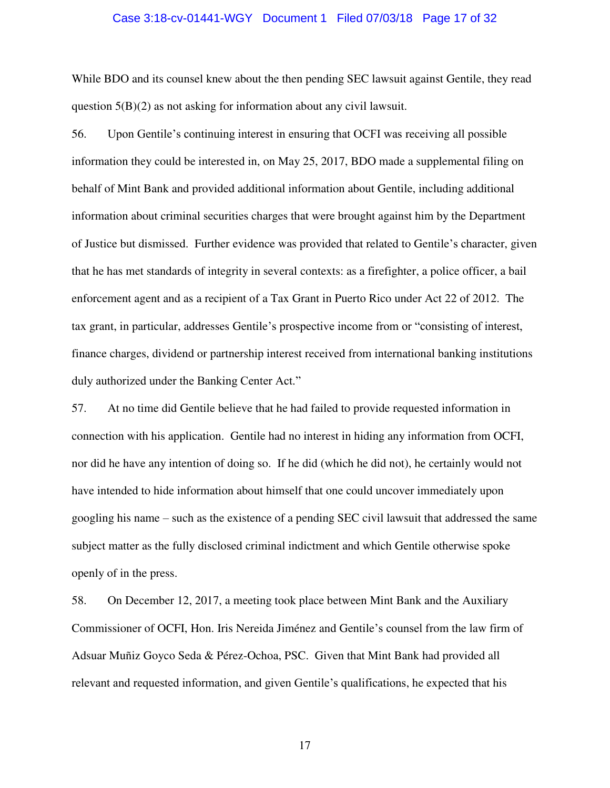#### Case 3:18-cv-01441-WGY Document 1 Filed 07/03/18 Page 17 of 32

While BDO and its counsel knew about the then pending SEC lawsuit against Gentile, they read question 5(B)(2) as not asking for information about any civil lawsuit.

56. Upon Gentile's continuing interest in ensuring that OCFI was receiving all possible information they could be interested in, on May 25, 2017, BDO made a supplemental filing on behalf of Mint Bank and provided additional information about Gentile, including additional information about criminal securities charges that were brought against him by the Department of Justice but dismissed. Further evidence was provided that related to Gentile's character, given that he has met standards of integrity in several contexts: as a firefighter, a police officer, a bail enforcement agent and as a recipient of a Tax Grant in Puerto Rico under Act 22 of 2012. The tax grant, in particular, addresses Gentile's prospective income from or "consisting of interest, finance charges, dividend or partnership interest received from international banking institutions duly authorized under the Banking Center Act."

57. At no time did Gentile believe that he had failed to provide requested information in connection with his application. Gentile had no interest in hiding any information from OCFI, nor did he have any intention of doing so. If he did (which he did not), he certainly would not have intended to hide information about himself that one could uncover immediately upon googling his name – such as the existence of a pending SEC civil lawsuit that addressed the same subject matter as the fully disclosed criminal indictment and which Gentile otherwise spoke openly of in the press.

58. On December 12, 2017, a meeting took place between Mint Bank and the Auxiliary Commissioner of OCFI, Hon. Iris Nereida Jiménez and Gentile's counsel from the law firm of Adsuar Muñiz Goyco Seda & Pérez-Ochoa, PSC. Given that Mint Bank had provided all relevant and requested information, and given Gentile's qualifications, he expected that his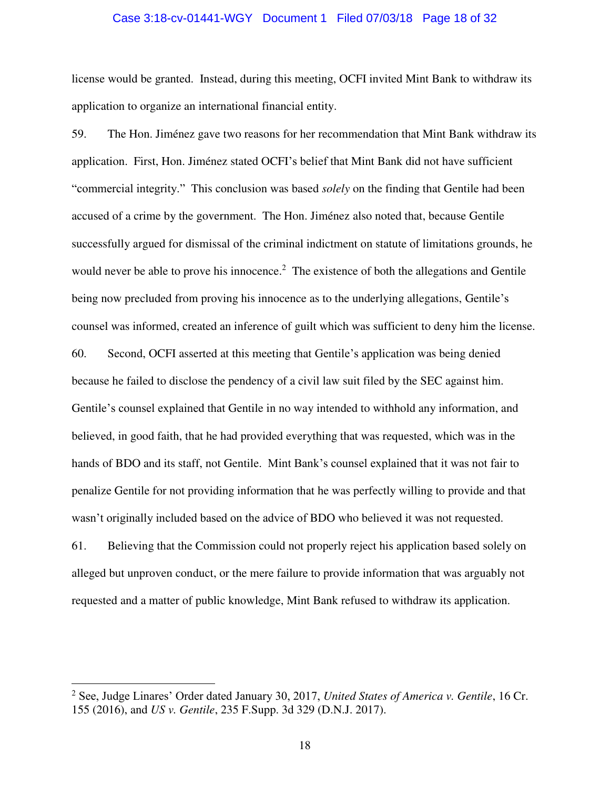#### Case 3:18-cv-01441-WGY Document 1 Filed 07/03/18 Page 18 of 32

license would be granted. Instead, during this meeting, OCFI invited Mint Bank to withdraw its application to organize an international financial entity.

59. The Hon. Jiménez gave two reasons for her recommendation that Mint Bank withdraw its application. First, Hon. Jiménez stated OCFI's belief that Mint Bank did not have sufficient "commercial integrity." This conclusion was based *solely* on the finding that Gentile had been accused of a crime by the government. The Hon. Jiménez also noted that, because Gentile successfully argued for dismissal of the criminal indictment on statute of limitations grounds, he would never be able to prove his innocence.<sup>2</sup> The existence of both the allegations and Gentile being now precluded from proving his innocence as to the underlying allegations, Gentile's counsel was informed, created an inference of guilt which was sufficient to deny him the license. 60. Second, OCFI asserted at this meeting that Gentile's application was being denied because he failed to disclose the pendency of a civil law suit filed by the SEC against him. Gentile's counsel explained that Gentile in no way intended to withhold any information, and believed, in good faith, that he had provided everything that was requested, which was in the hands of BDO and its staff, not Gentile. Mint Bank's counsel explained that it was not fair to penalize Gentile for not providing information that he was perfectly willing to provide and that wasn't originally included based on the advice of BDO who believed it was not requested.

61. Believing that the Commission could not properly reject his application based solely on alleged but unproven conduct, or the mere failure to provide information that was arguably not requested and a matter of public knowledge, Mint Bank refused to withdraw its application.

 $\overline{a}$ 

<sup>2</sup> See, Judge Linares' Order dated January 30, 2017, *United States of America v. Gentile*, 16 Cr. 155 (2016), and *US v. Gentile*, 235 F.Supp. 3d 329 (D.N.J. 2017).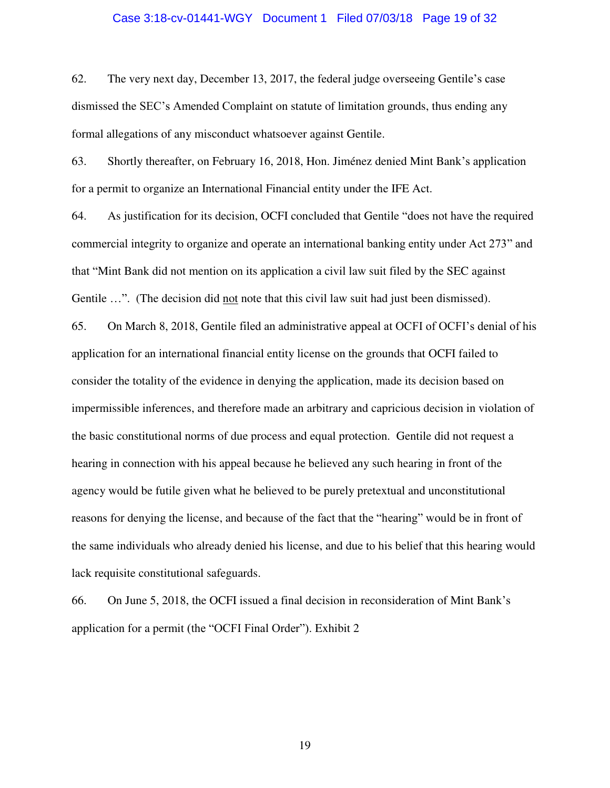#### Case 3:18-cv-01441-WGY Document 1 Filed 07/03/18 Page 19 of 32

62. The very next day, December 13, 2017, the federal judge overseeing Gentile's case dismissed the SEC's Amended Complaint on statute of limitation grounds, thus ending any formal allegations of any misconduct whatsoever against Gentile.

63. Shortly thereafter, on February 16, 2018, Hon. Jiménez denied Mint Bank's application for a permit to organize an International Financial entity under the IFE Act.

64. As justification for its decision, OCFI concluded that Gentile "does not have the required commercial integrity to organize and operate an international banking entity under Act 273" and that "Mint Bank did not mention on its application a civil law suit filed by the SEC against Gentile ...". (The decision did not note that this civil law suit had just been dismissed).

65. On March 8, 2018, Gentile filed an administrative appeal at OCFI of OCFI's denial of his application for an international financial entity license on the grounds that OCFI failed to consider the totality of the evidence in denying the application, made its decision based on impermissible inferences, and therefore made an arbitrary and capricious decision in violation of the basic constitutional norms of due process and equal protection. Gentile did not request a hearing in connection with his appeal because he believed any such hearing in front of the agency would be futile given what he believed to be purely pretextual and unconstitutional reasons for denying the license, and because of the fact that the "hearing" would be in front of the same individuals who already denied his license, and due to his belief that this hearing would lack requisite constitutional safeguards.

66. On June 5, 2018, the OCFI issued a final decision in reconsideration of Mint Bank's application for a permit (the "OCFI Final Order"). Exhibit 2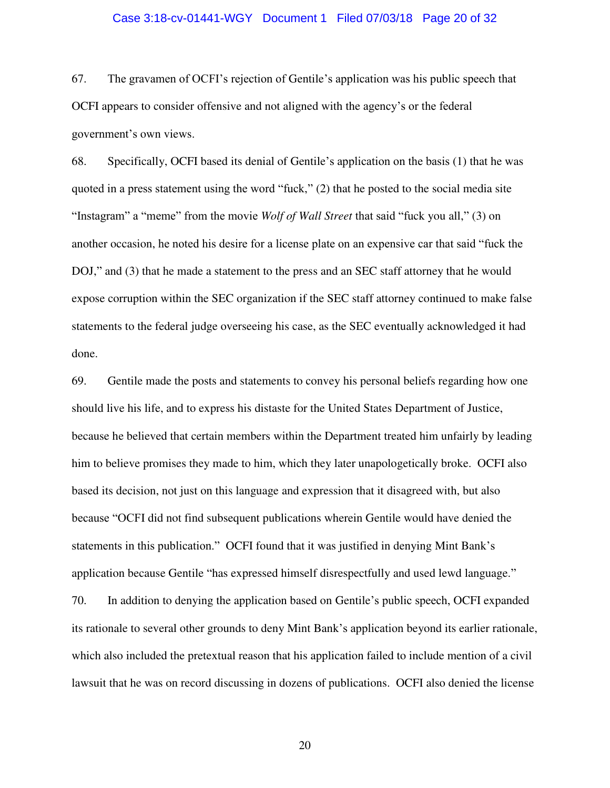#### Case 3:18-cv-01441-WGY Document 1 Filed 07/03/18 Page 20 of 32

67. The gravamen of OCFI's rejection of Gentile's application was his public speech that OCFI appears to consider offensive and not aligned with the agency's or the federal government's own views.

68. Specifically, OCFI based its denial of Gentile's application on the basis (1) that he was quoted in a press statement using the word "fuck," (2) that he posted to the social media site "Instagram" a "meme" from the movie *Wolf of Wall Street* that said "fuck you all," (3) on another occasion, he noted his desire for a license plate on an expensive car that said "fuck the DOJ," and (3) that he made a statement to the press and an SEC staff attorney that he would expose corruption within the SEC organization if the SEC staff attorney continued to make false statements to the federal judge overseeing his case, as the SEC eventually acknowledged it had done.

69. Gentile made the posts and statements to convey his personal beliefs regarding how one should live his life, and to express his distaste for the United States Department of Justice, because he believed that certain members within the Department treated him unfairly by leading him to believe promises they made to him, which they later unapologetically broke. OCFI also based its decision, not just on this language and expression that it disagreed with, but also because "OCFI did not find subsequent publications wherein Gentile would have denied the statements in this publication." OCFI found that it was justified in denying Mint Bank's application because Gentile "has expressed himself disrespectfully and used lewd language." 70. In addition to denying the application based on Gentile's public speech, OCFI expanded its rationale to several other grounds to deny Mint Bank's application beyond its earlier rationale, which also included the pretextual reason that his application failed to include mention of a civil lawsuit that he was on record discussing in dozens of publications. OCFI also denied the license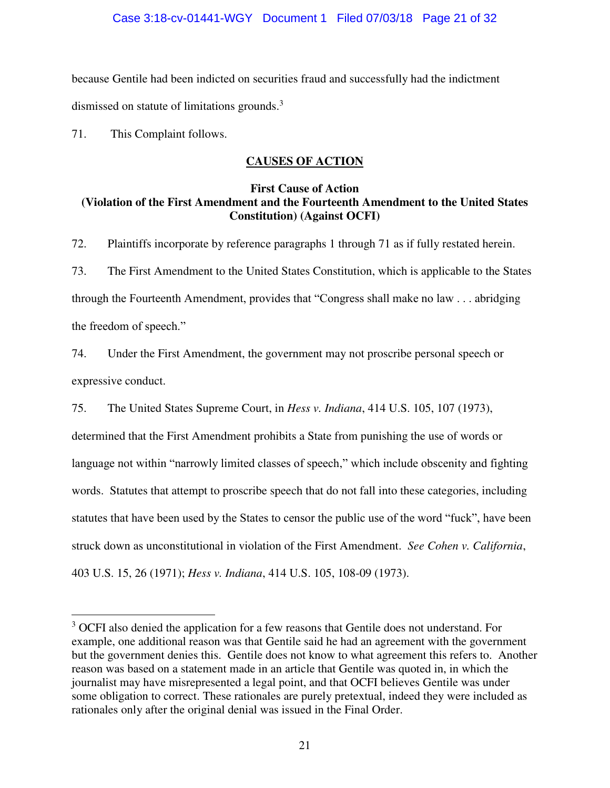### Case 3:18-cv-01441-WGY Document 1 Filed 07/03/18 Page 21 of 32

because Gentile had been indicted on securities fraud and successfully had the indictment dismissed on statute of limitations grounds.<sup>3</sup>

71. This Complaint follows.

 $\overline{a}$ 

# **CAUSES OF ACTION**

### **First Cause of Action (Violation of the First Amendment and the Fourteenth Amendment to the United States Constitution) (Against OCFI)**

72. Plaintiffs incorporate by reference paragraphs 1 through 71 as if fully restated herein. 73. The First Amendment to the United States Constitution, which is applicable to the States through the Fourteenth Amendment, provides that "Congress shall make no law . . . abridging the freedom of speech."

74. Under the First Amendment, the government may not proscribe personal speech or expressive conduct.

75. The United States Supreme Court, in *Hess v. Indiana*, 414 U.S. 105, 107 (1973), determined that the First Amendment prohibits a State from punishing the use of words or language not within "narrowly limited classes of speech," which include obscenity and fighting words. Statutes that attempt to proscribe speech that do not fall into these categories, including statutes that have been used by the States to censor the public use of the word "fuck", have been struck down as unconstitutional in violation of the First Amendment. *See Cohen v. California*, 403 U.S. 15, 26 (1971); *Hess v. Indiana*, 414 U.S. 105, 108-09 (1973).

<sup>&</sup>lt;sup>3</sup> OCFI also denied the application for a few reasons that Gentile does not understand. For example, one additional reason was that Gentile said he had an agreement with the government but the government denies this. Gentile does not know to what agreement this refers to. Another reason was based on a statement made in an article that Gentile was quoted in, in which the journalist may have misrepresented a legal point, and that OCFI believes Gentile was under some obligation to correct. These rationales are purely pretextual, indeed they were included as rationales only after the original denial was issued in the Final Order.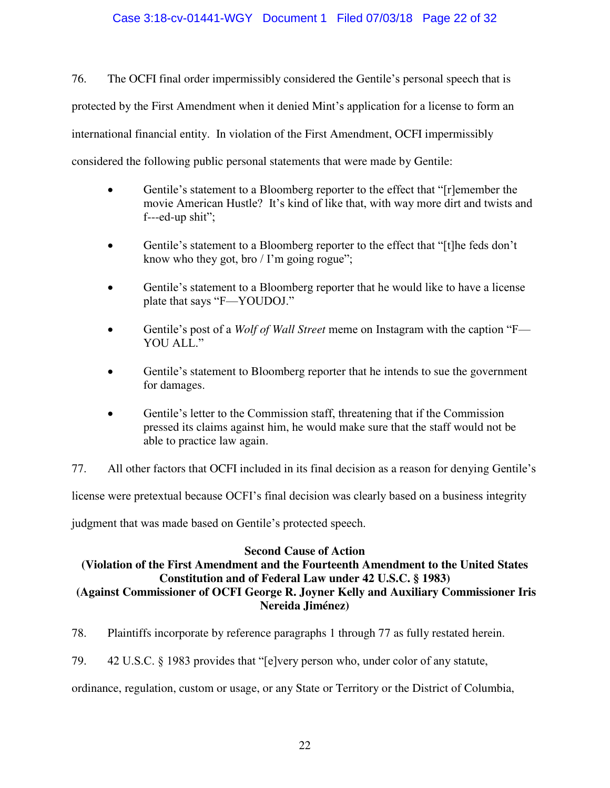## Case 3:18-cv-01441-WGY Document 1 Filed 07/03/18 Page 22 of 32

76. The OCFI final order impermissibly considered the Gentile's personal speech that is protected by the First Amendment when it denied Mint's application for a license to form an international financial entity. In violation of the First Amendment, OCFI impermissibly considered the following public personal statements that were made by Gentile:

- Gentile's statement to a Bloomberg reporter to the effect that "[r]emember the movie American Hustle? It's kind of like that, with way more dirt and twists and f---ed-up shit";
- Gentile's statement to a Bloomberg reporter to the effect that "[t]he feds don't know who they got, bro  $\ell$  I'm going rogue";
- Gentile's statement to a Bloomberg reporter that he would like to have a license plate that says "F—YOUDOJ."
- Gentile's post of a *Wolf of Wall Street* meme on Instagram with the caption "F— YOU ALL."
- Gentile's statement to Bloomberg reporter that he intends to sue the government for damages.
- Gentile's letter to the Commission staff, threatening that if the Commission pressed its claims against him, he would make sure that the staff would not be able to practice law again.
- 77. All other factors that OCFI included in its final decision as a reason for denying Gentile's

license were pretextual because OCFI's final decision was clearly based on a business integrity

judgment that was made based on Gentile's protected speech.

### **Second Cause of Action**

# **(Violation of the First Amendment and the Fourteenth Amendment to the United States Constitution and of Federal Law under 42 U.S.C. § 1983)**

# **(Against Commissioner of OCFI George R. Joyner Kelly and Auxiliary Commissioner Iris Nereida Jiménez)**

78. Plaintiffs incorporate by reference paragraphs 1 through 77 as fully restated herein.

79. 42 U.S.C. § 1983 provides that "[e]very person who, under color of any statute,

ordinance, regulation, custom or usage, or any State or Territory or the District of Columbia,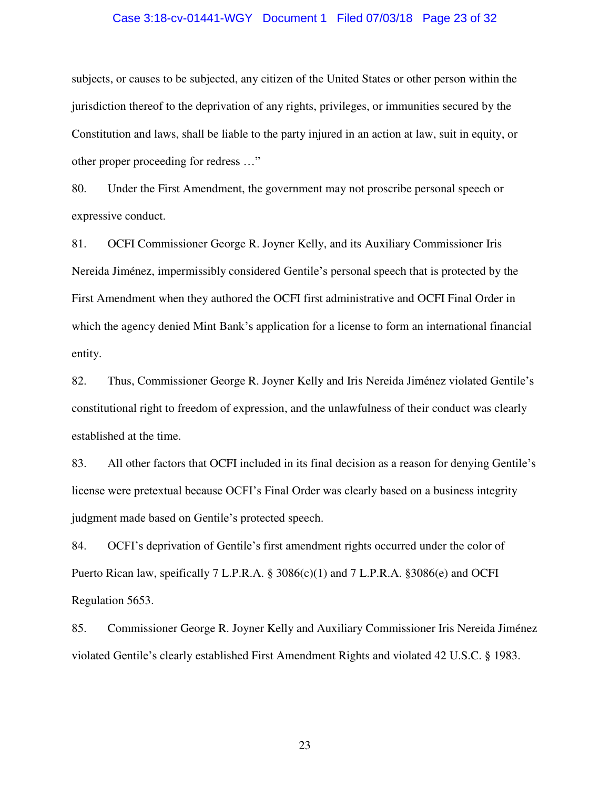#### Case 3:18-cv-01441-WGY Document 1 Filed 07/03/18 Page 23 of 32

subjects, or causes to be subjected, any citizen of the United States or other person within the jurisdiction thereof to the deprivation of any rights, privileges, or immunities secured by the Constitution and laws, shall be liable to the party injured in an action at law, suit in equity, or other proper proceeding for redress …"

80. Under the First Amendment, the government may not proscribe personal speech or expressive conduct.

81. OCFI Commissioner George R. Joyner Kelly, and its Auxiliary Commissioner Iris Nereida Jiménez, impermissibly considered Gentile's personal speech that is protected by the First Amendment when they authored the OCFI first administrative and OCFI Final Order in which the agency denied Mint Bank's application for a license to form an international financial entity.

82. Thus, Commissioner George R. Joyner Kelly and Iris Nereida Jiménez violated Gentile's constitutional right to freedom of expression, and the unlawfulness of their conduct was clearly established at the time.

83. All other factors that OCFI included in its final decision as a reason for denying Gentile's license were pretextual because OCFI's Final Order was clearly based on a business integrity judgment made based on Gentile's protected speech.

84. OCFI's deprivation of Gentile's first amendment rights occurred under the color of Puerto Rican law, speifically 7 L.P.R.A. § 3086(c)(1) and 7 L.P.R.A. §3086(e) and OCFI Regulation 5653.

85. Commissioner George R. Joyner Kelly and Auxiliary Commissioner Iris Nereida Jiménez violated Gentile's clearly established First Amendment Rights and violated 42 U.S.C. § 1983.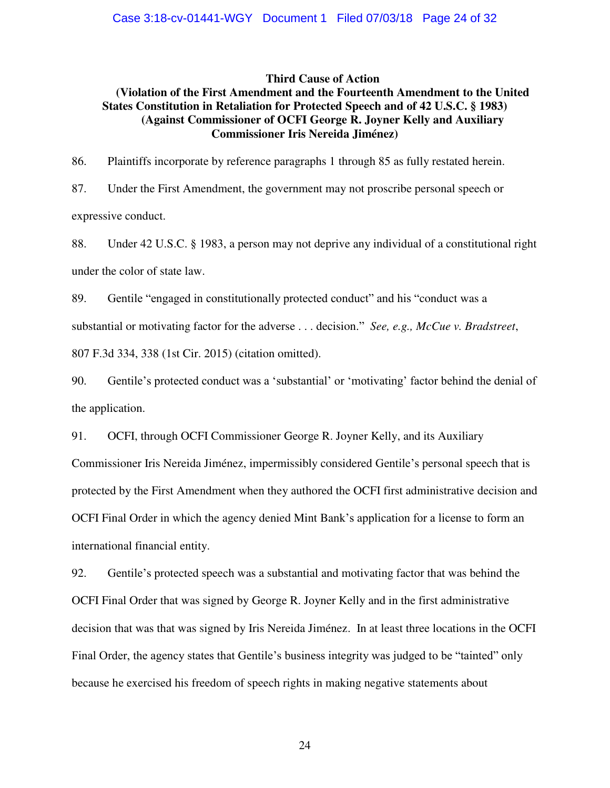#### **Third Cause of Action**

### **(Violation of the First Amendment and the Fourteenth Amendment to the United States Constitution in Retaliation for Protected Speech and of 42 U.S.C. § 1983) (Against Commissioner of OCFI George R. Joyner Kelly and Auxiliary Commissioner Iris Nereida Jiménez)**

86. Plaintiffs incorporate by reference paragraphs 1 through 85 as fully restated herein.

87. Under the First Amendment, the government may not proscribe personal speech or expressive conduct.

88. Under 42 U.S.C. § 1983, a person may not deprive any individual of a constitutional right under the color of state law.

89. Gentile "engaged in constitutionally protected conduct" and his "conduct was a substantial or motivating factor for the adverse . . . decision." *See, e.g., McCue v. Bradstreet*, 807 F.3d 334, 338 (1st Cir. 2015) (citation omitted).

90. Gentile's protected conduct was a 'substantial' or 'motivating' factor behind the denial of the application.

91. OCFI, through OCFI Commissioner George R. Joyner Kelly, and its Auxiliary

Commissioner Iris Nereida Jiménez, impermissibly considered Gentile's personal speech that is protected by the First Amendment when they authored the OCFI first administrative decision and OCFI Final Order in which the agency denied Mint Bank's application for a license to form an international financial entity.

92. Gentile's protected speech was a substantial and motivating factor that was behind the OCFI Final Order that was signed by George R. Joyner Kelly and in the first administrative decision that was that was signed by Iris Nereida Jiménez. In at least three locations in the OCFI Final Order, the agency states that Gentile's business integrity was judged to be "tainted" only because he exercised his freedom of speech rights in making negative statements about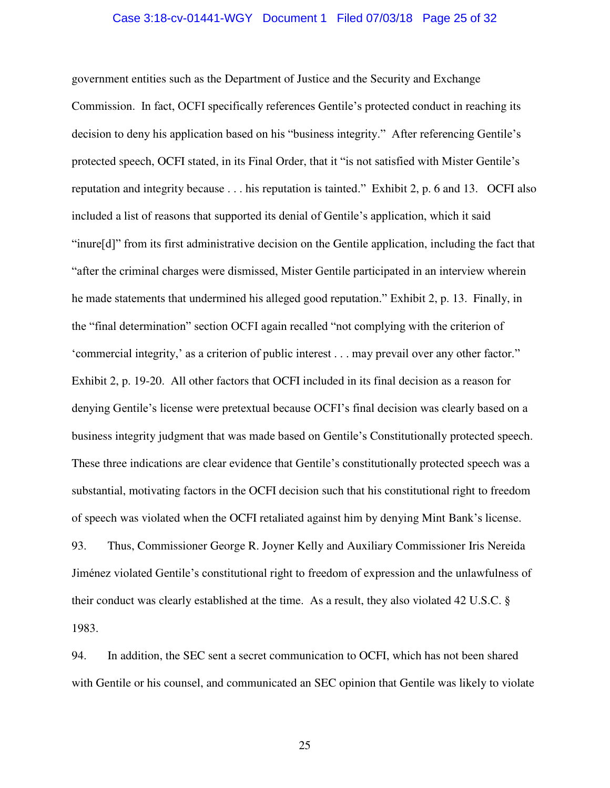#### Case 3:18-cv-01441-WGY Document 1 Filed 07/03/18 Page 25 of 32

government entities such as the Department of Justice and the Security and Exchange Commission. In fact, OCFI specifically references Gentile's protected conduct in reaching its decision to deny his application based on his "business integrity." After referencing Gentile's protected speech, OCFI stated, in its Final Order, that it "is not satisfied with Mister Gentile's reputation and integrity because . . . his reputation is tainted." Exhibit 2, p. 6 and 13. OCFI also included a list of reasons that supported its denial of Gentile's application, which it said "inure[d]" from its first administrative decision on the Gentile application, including the fact that "after the criminal charges were dismissed, Mister Gentile participated in an interview wherein he made statements that undermined his alleged good reputation." Exhibit 2, p. 13. Finally, in the "final determination" section OCFI again recalled "not complying with the criterion of 'commercial integrity,' as a criterion of public interest . . . may prevail over any other factor." Exhibit 2, p. 19-20. All other factors that OCFI included in its final decision as a reason for denying Gentile's license were pretextual because OCFI's final decision was clearly based on a business integrity judgment that was made based on Gentile's Constitutionally protected speech. These three indications are clear evidence that Gentile's constitutionally protected speech was a substantial, motivating factors in the OCFI decision such that his constitutional right to freedom of speech was violated when the OCFI retaliated against him by denying Mint Bank's license. 93. Thus, Commissioner George R. Joyner Kelly and Auxiliary Commissioner Iris Nereida Jiménez violated Gentile's constitutional right to freedom of expression and the unlawfulness of their conduct was clearly established at the time. As a result, they also violated 42 U.S.C. § 1983.

94. In addition, the SEC sent a secret communication to OCFI, which has not been shared with Gentile or his counsel, and communicated an SEC opinion that Gentile was likely to violate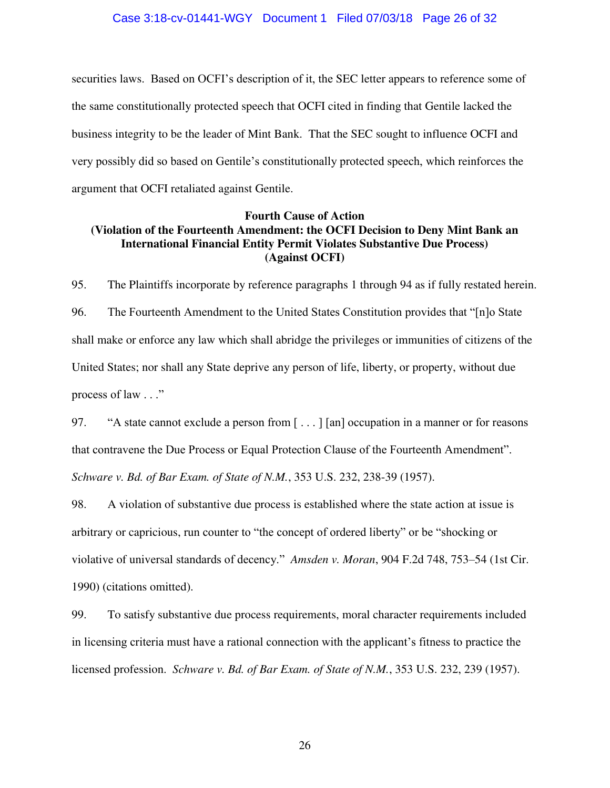#### Case 3:18-cv-01441-WGY Document 1 Filed 07/03/18 Page 26 of 32

securities laws. Based on OCFI's description of it, the SEC letter appears to reference some of the same constitutionally protected speech that OCFI cited in finding that Gentile lacked the business integrity to be the leader of Mint Bank. That the SEC sought to influence OCFI and very possibly did so based on Gentile's constitutionally protected speech, which reinforces the argument that OCFI retaliated against Gentile.

### **Fourth Cause of Action (Violation of the Fourteenth Amendment: the OCFI Decision to Deny Mint Bank an International Financial Entity Permit Violates Substantive Due Process) (Against OCFI)**

95. The Plaintiffs incorporate by reference paragraphs 1 through 94 as if fully restated herein. 96. The Fourteenth Amendment to the United States Constitution provides that "[n]o State shall make or enforce any law which shall abridge the privileges or immunities of citizens of the United States; nor shall any State deprive any person of life, liberty, or property, without due process of law . . ."

97. "A state cannot exclude a person from [ . . . ] [an] occupation in a manner or for reasons that contravene the Due Process or Equal Protection Clause of the Fourteenth Amendment". *Schware v. Bd. of Bar Exam. of State of N.M.*, 353 U.S. 232, 238-39 (1957).

98. A violation of substantive due process is established where the state action at issue is arbitrary or capricious, run counter to "the concept of ordered liberty" or be "shocking or violative of universal standards of decency." *Amsden v. Moran*, 904 F.2d 748, 753–54 (1st Cir. 1990) (citations omitted).

99. To satisfy substantive due process requirements, moral character requirements included in licensing criteria must have a rational connection with the applicant's fitness to practice the licensed profession. *Schware v. Bd. of Bar Exam. of State of N.M.*, 353 U.S. 232, 239 (1957).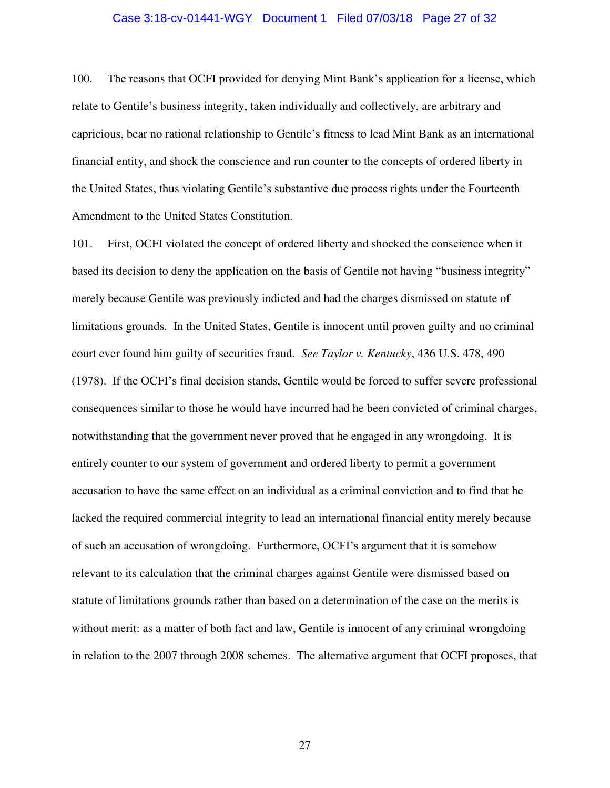#### Case 3:18-cv-01441-WGY Document 1 Filed 07/03/18 Page 27 of 32

100. The reasons that OCFI provided for denying Mint Bank's application for a license, which relate to Gentile's business integrity, taken individually and collectively, are arbitrary and capricious, bear no rational relationship to Gentile's fitness to lead Mint Bank as an international financial entity, and shock the conscience and run counter to the concepts of ordered liberty in the United States, thus violating Gentile's substantive due process rights under the Fourteenth Amendment to the United States Constitution.

101. First, OCFI violated the concept of ordered liberty and shocked the conscience when it based its decision to deny the application on the basis of Gentile not having "business integrity" merely because Gentile was previously indicted and had the charges dismissed on statute of limitations grounds. In the United States, Gentile is innocent until proven guilty and no criminal court ever found him guilty of securities fraud. *See Taylor v. Kentucky*, 436 U.S. 478, 490 (1978). If the OCFI's final decision stands, Gentile would be forced to suffer severe professional consequences similar to those he would have incurred had he been convicted of criminal charges, notwithstanding that the government never proved that he engaged in any wrongdoing. It is entirely counter to our system of government and ordered liberty to permit a government accusation to have the same effect on an individual as a criminal conviction and to find that he lacked the required commercial integrity to lead an international financial entity merely because of such an accusation of wrongdoing. Furthermore, OCFI's argument that it is somehow relevant to its calculation that the criminal charges against Gentile were dismissed based on statute of limitations grounds rather than based on a determination of the case on the merits is without merit: as a matter of both fact and law, Gentile is innocent of any criminal wrongdoing in relation to the 2007 through 2008 schemes. The alternative argument that OCFI proposes, that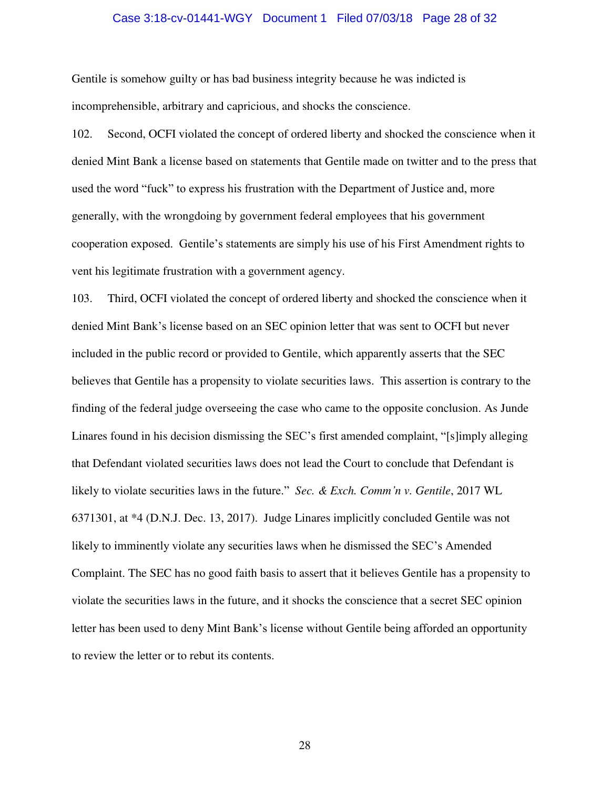#### Case 3:18-cv-01441-WGY Document 1 Filed 07/03/18 Page 28 of 32

Gentile is somehow guilty or has bad business integrity because he was indicted is incomprehensible, arbitrary and capricious, and shocks the conscience.

102. Second, OCFI violated the concept of ordered liberty and shocked the conscience when it denied Mint Bank a license based on statements that Gentile made on twitter and to the press that used the word "fuck" to express his frustration with the Department of Justice and, more generally, with the wrongdoing by government federal employees that his government cooperation exposed. Gentile's statements are simply his use of his First Amendment rights to vent his legitimate frustration with a government agency.

103. Third, OCFI violated the concept of ordered liberty and shocked the conscience when it denied Mint Bank's license based on an SEC opinion letter that was sent to OCFI but never included in the public record or provided to Gentile, which apparently asserts that the SEC believes that Gentile has a propensity to violate securities laws. This assertion is contrary to the finding of the federal judge overseeing the case who came to the opposite conclusion. As Junde Linares found in his decision dismissing the SEC's first amended complaint, "[s]imply alleging that Defendant violated securities laws does not lead the Court to conclude that Defendant is likely to violate securities laws in the future." *Sec. & Exch. Comm'n v. Gentile*, 2017 WL 6371301, at \*4 (D.N.J. Dec. 13, 2017). Judge Linares implicitly concluded Gentile was not likely to imminently violate any securities laws when he dismissed the SEC's Amended Complaint. The SEC has no good faith basis to assert that it believes Gentile has a propensity to violate the securities laws in the future, and it shocks the conscience that a secret SEC opinion letter has been used to deny Mint Bank's license without Gentile being afforded an opportunity to review the letter or to rebut its contents.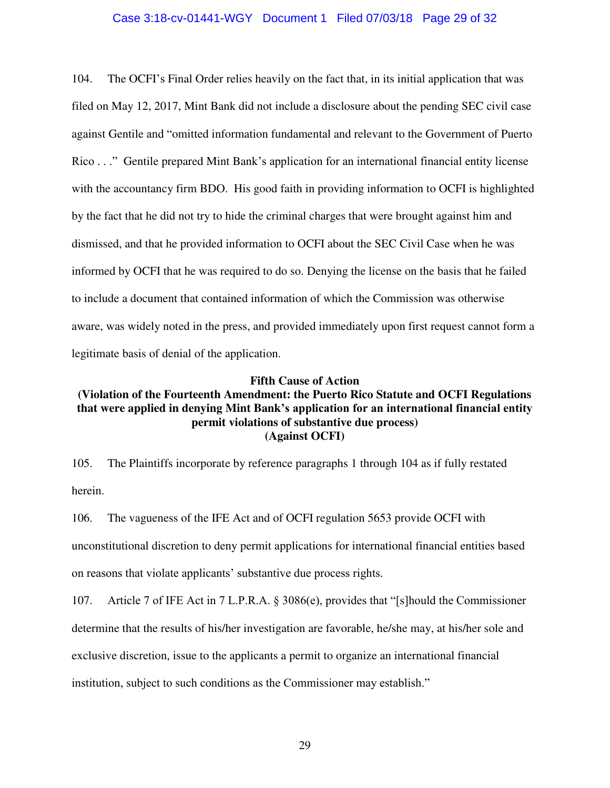### Case 3:18-cv-01441-WGY Document 1 Filed 07/03/18 Page 29 of 32

104. The OCFI's Final Order relies heavily on the fact that, in its initial application that was filed on May 12, 2017, Mint Bank did not include a disclosure about the pending SEC civil case against Gentile and "omitted information fundamental and relevant to the Government of Puerto Rico . . ." Gentile prepared Mint Bank's application for an international financial entity license with the accountancy firm BDO. His good faith in providing information to OCFI is highlighted by the fact that he did not try to hide the criminal charges that were brought against him and dismissed, and that he provided information to OCFI about the SEC Civil Case when he was informed by OCFI that he was required to do so. Denying the license on the basis that he failed to include a document that contained information of which the Commission was otherwise aware, was widely noted in the press, and provided immediately upon first request cannot form a legitimate basis of denial of the application.

### **Fifth Cause of Action**

# **(Violation of the Fourteenth Amendment: the Puerto Rico Statute and OCFI Regulations that were applied in denying Mint Bank's application for an international financial entity permit violations of substantive due process) (Against OCFI)**

105. The Plaintiffs incorporate by reference paragraphs 1 through 104 as if fully restated herein.

106. The vagueness of the IFE Act and of OCFI regulation 5653 provide OCFI with unconstitutional discretion to deny permit applications for international financial entities based on reasons that violate applicants' substantive due process rights.

107. Article 7 of IFE Act in 7 L.P.R.A. § 3086(e), provides that "[s]hould the Commissioner determine that the results of his/her investigation are favorable, he/she may, at his/her sole and exclusive discretion, issue to the applicants a permit to organize an international financial institution, subject to such conditions as the Commissioner may establish."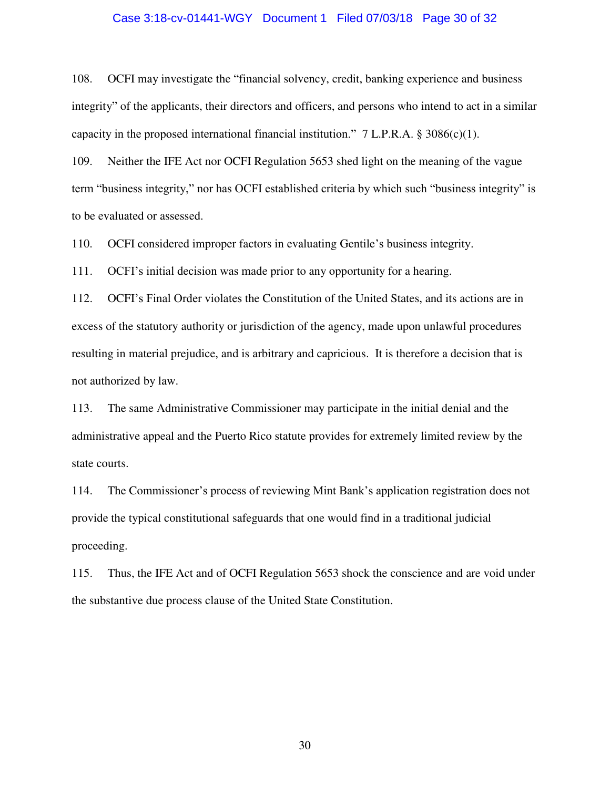#### Case 3:18-cv-01441-WGY Document 1 Filed 07/03/18 Page 30 of 32

108. OCFI may investigate the "financial solvency, credit, banking experience and business integrity" of the applicants, their directors and officers, and persons who intend to act in a similar capacity in the proposed international financial institution."  $7 L.P.R.A. § 3086(c)(1)$ .

109. Neither the IFE Act nor OCFI Regulation 5653 shed light on the meaning of the vague term "business integrity," nor has OCFI established criteria by which such "business integrity" is to be evaluated or assessed.

110. OCFI considered improper factors in evaluating Gentile's business integrity.

111. OCFI's initial decision was made prior to any opportunity for a hearing.

112. OCFI's Final Order violates the Constitution of the United States, and its actions are in excess of the statutory authority or jurisdiction of the agency, made upon unlawful procedures resulting in material prejudice, and is arbitrary and capricious. It is therefore a decision that is not authorized by law.

113. The same Administrative Commissioner may participate in the initial denial and the administrative appeal and the Puerto Rico statute provides for extremely limited review by the state courts.

114. The Commissioner's process of reviewing Mint Bank's application registration does not provide the typical constitutional safeguards that one would find in a traditional judicial proceeding.

115. Thus, the IFE Act and of OCFI Regulation 5653 shock the conscience and are void under the substantive due process clause of the United State Constitution.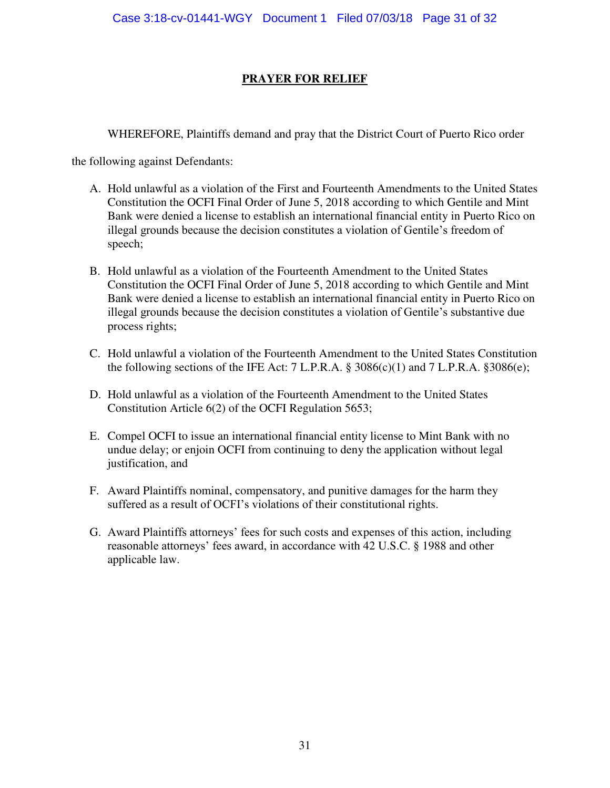# **PRAYER FOR RELIEF**

WHEREFORE, Plaintiffs demand and pray that the District Court of Puerto Rico order

the following against Defendants:

- A. Hold unlawful as a violation of the First and Fourteenth Amendments to the United States Constitution the OCFI Final Order of June 5, 2018 according to which Gentile and Mint Bank were denied a license to establish an international financial entity in Puerto Rico on illegal grounds because the decision constitutes a violation of Gentile's freedom of speech;
- B. Hold unlawful as a violation of the Fourteenth Amendment to the United States Constitution the OCFI Final Order of June 5, 2018 according to which Gentile and Mint Bank were denied a license to establish an international financial entity in Puerto Rico on illegal grounds because the decision constitutes a violation of Gentile's substantive due process rights;
- C. Hold unlawful a violation of the Fourteenth Amendment to the United States Constitution the following sections of the IFE Act:  $7$  L.P.R.A.  $\S 3086(c)(1)$  and  $7$  L.P.R.A.  $\S 3086(e)$ ;
- D. Hold unlawful as a violation of the Fourteenth Amendment to the United States Constitution Article 6(2) of the OCFI Regulation 5653;
- E. Compel OCFI to issue an international financial entity license to Mint Bank with no undue delay; or enjoin OCFI from continuing to deny the application without legal justification, and
- F. Award Plaintiffs nominal, compensatory, and punitive damages for the harm they suffered as a result of OCFI's violations of their constitutional rights.
- G. Award Plaintiffs attorneys' fees for such costs and expenses of this action, including reasonable attorneys' fees award, in accordance with 42 U.S.C. § 1988 and other applicable law.